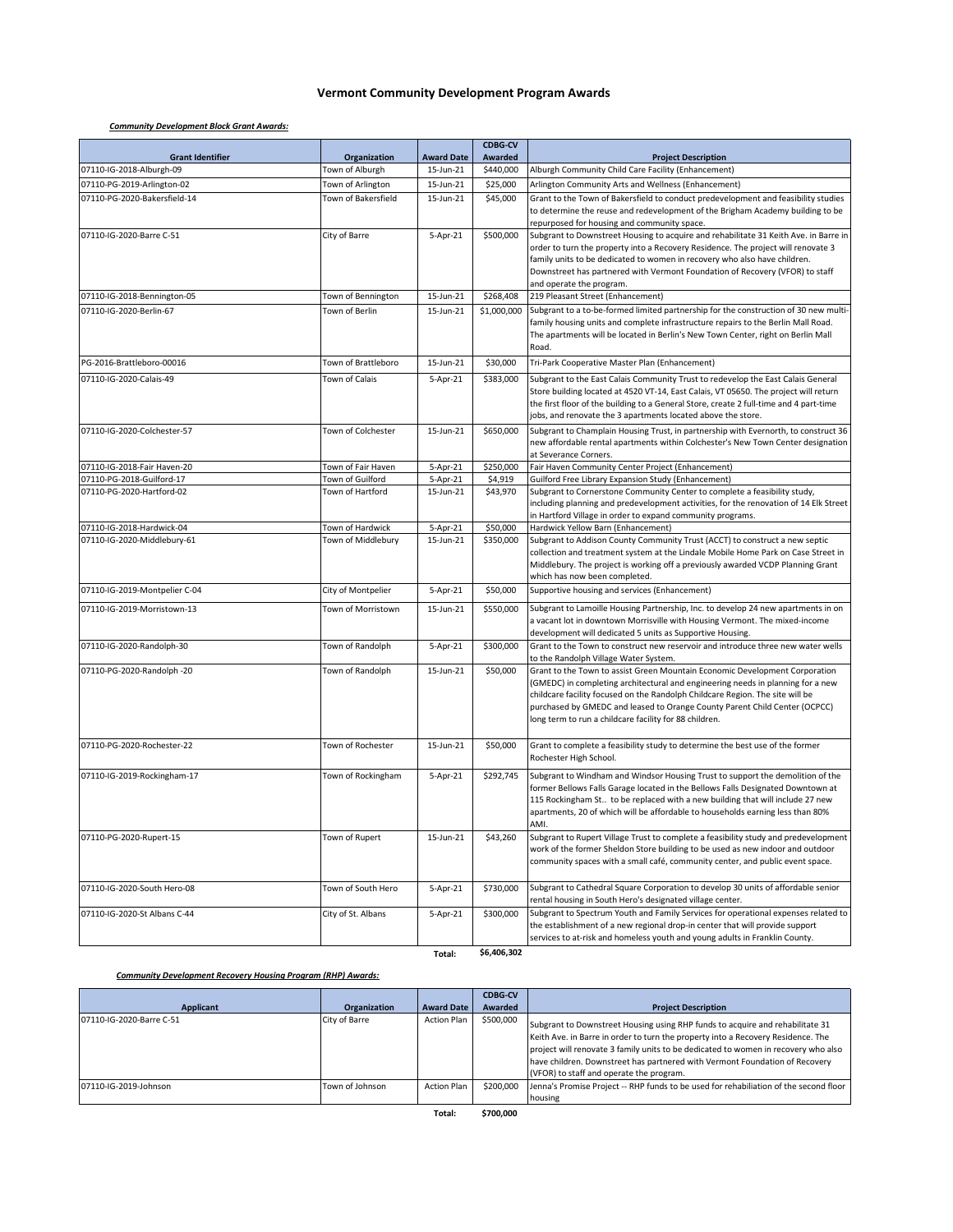# **Vermont Community Development Program Awards**

### *Community Development Block Grant Awards:*

| <b>Grant Identifier</b>       | Organization        | <b>Award Date</b> | <b>CDBG-CV</b><br>Awarded | <b>Project Description</b>                                                                                                                                            |
|-------------------------------|---------------------|-------------------|---------------------------|-----------------------------------------------------------------------------------------------------------------------------------------------------------------------|
| 07110-IG-2018-Alburgh-09      | Town of Alburgh     | 15-Jun-21         | \$440,000                 | Alburgh Community Child Care Facility (Enhancement)                                                                                                                   |
| 07110-PG-2019-Arlington-02    | Town of Arlington   | 15-Jun-21         | \$25,000                  | Arlington Community Arts and Wellness (Enhancement)                                                                                                                   |
| 07110-PG-2020-Bakersfield-14  | Town of Bakersfield | 15-Jun-21         | \$45,000                  | Grant to the Town of Bakersfield to conduct predevelopment and feasibility studies                                                                                    |
|                               |                     |                   |                           | to determine the reuse and redevelopment of the Brigham Academy building to be                                                                                        |
|                               |                     |                   |                           | repurposed for housing and community space.                                                                                                                           |
| 07110-IG-2020-Barre C-51      | City of Barre       | 5-Apr-21          | \$500,000                 | Subgrant to Downstreet Housing to acquire and rehabilitate 31 Keith Ave. in Barre in                                                                                  |
|                               |                     |                   |                           | order to turn the property into a Recovery Residence. The project will renovate 3<br>family units to be dedicated to women in recovery who also have children.        |
|                               |                     |                   |                           | Downstreet has partnered with Vermont Foundation of Recovery (VFOR) to staff                                                                                          |
|                               |                     |                   |                           | and operate the program.                                                                                                                                              |
| 07110-IG-2018-Bennington-05   | Town of Bennington  | 15-Jun-21         | \$268,408                 | 219 Pleasant Street (Enhancement)                                                                                                                                     |
| 07110-IG-2020-Berlin-67       | Town of Berlin      | 15-Jun-21         | \$1,000,000               | Subgrant to a to-be-formed limited partnership for the construction of 30 new multi-                                                                                  |
|                               |                     |                   |                           | family housing units and complete infrastructure repairs to the Berlin Mall Road.                                                                                     |
|                               |                     |                   |                           | The apartments will be located in Berlin's New Town Center, right on Berlin Mall<br>Road.                                                                             |
| PG-2016-Brattleboro-00016     | Town of Brattleboro | 15-Jun-21         | \$30,000                  | Tri-Park Cooperative Master Plan (Enhancement)                                                                                                                        |
| 07110-IG-2020-Calais-49       | Town of Calais      | 5-Apr-21          | \$383,000                 | Subgrant to the East Calais Community Trust to redevelop the East Calais General                                                                                      |
|                               |                     |                   |                           | Store building located at 4520 VT-14, East Calais, VT 05650. The project will return                                                                                  |
|                               |                     |                   |                           | the first floor of the building to a General Store, create 2 full-time and 4 part-time                                                                                |
|                               |                     |                   |                           | jobs, and renovate the 3 apartments located above the store.                                                                                                          |
| 07110-IG-2020-Colchester-57   | Town of Colchester  | 15-Jun-21         | \$650,000                 | Subgrant to Champlain Housing Trust, in partnership with Evernorth, to construct 36                                                                                   |
|                               |                     |                   |                           | new affordable rental apartments within Colchester's New Town Center designation<br>at Severance Corners.                                                             |
| 07110-IG-2018-Fair Haven-20   | Town of Fair Haven  | 5-Apr-21          | \$250,000                 | Fair Haven Community Center Project (Enhancement)                                                                                                                     |
| 07110-PG-2018-Guilford-17     | Town of Guilford    | 5-Apr-21          | \$4,919                   | Guilford Free Library Expansion Study (Enhancement)                                                                                                                   |
| 07110-PG-2020-Hartford-02     | Town of Hartford    | 15-Jun-21         | \$43,970                  | Subgrant to Cornerstone Community Center to complete a feasibility study,                                                                                             |
|                               |                     |                   |                           | including planning and predevelopment activities, for the renovation of 14 Elk Street                                                                                 |
| 07110-IG-2018-Hardwick-04     | Town of Hardwick    | 5-Apr-21          | \$50,000                  | in Hartford Village in order to expand community programs.<br>Hardwick Yellow Barn (Enhancement)                                                                      |
| 07110-IG-2020-Middlebury-61   | Town of Middlebury  | 15-Jun-21         | \$350,000                 | Subgrant to Addison County Community Trust (ACCT) to construct a new septic                                                                                           |
|                               |                     |                   |                           | collection and treatment system at the Lindale Mobile Home Park on Case Street in                                                                                     |
|                               |                     |                   |                           | Middlebury. The project is working off a previously awarded VCDP Planning Grant                                                                                       |
|                               |                     |                   |                           | which has now been completed.                                                                                                                                         |
| 07110-IG-2019-Montpelier C-04 | City of Montpelier  | 5-Apr-21          | \$50,000                  | Supportive housing and services (Enhancement)                                                                                                                         |
| 07110-IG-2019-Morristown-13   | Town of Morristown  | 15-Jun-21         | \$550,000                 | Subgrant to Lamoille Housing Partnership, Inc. to develop 24 new apartments in on                                                                                     |
|                               |                     |                   |                           | a vacant lot in downtown Morrisville with Housing Vermont. The mixed-income<br>development will dedicated 5 units as Supportive Housing.                              |
| 07110-IG-2020-Randolph-30     | Town of Randolph    | 5-Apr-21          | \$300,000                 | Grant to the Town to construct new reservoir and introduce three new water wells                                                                                      |
|                               |                     |                   |                           | to the Randolph Village Water System.                                                                                                                                 |
| 07110-PG-2020-Randolph -20    | Town of Randolph    | 15-Jun-21         | \$50,000                  | Grant to the Town to assist Green Mountain Economic Development Corporation                                                                                           |
|                               |                     |                   |                           | (GMEDC) in completing architectural and engineering needs in planning for a new<br>childcare facility focused on the Randolph Childcare Region. The site will be      |
|                               |                     |                   |                           | purchased by GMEDC and leased to Orange County Parent Child Center (OCPCC)                                                                                            |
|                               |                     |                   |                           | long term to run a childcare facility for 88 children.                                                                                                                |
|                               |                     |                   |                           |                                                                                                                                                                       |
| 07110-PG-2020-Rochester-22    | Town of Rochester   | 15-Jun-21         | \$50,000                  | Grant to complete a feasibility study to determine the best use of the former<br>Rochester High School.                                                               |
| 07110-IG-2019-Rockingham-17   | Town of Rockingham  | 5-Apr-21          | \$292,745                 | Subgrant to Windham and Windsor Housing Trust to support the demolition of the                                                                                        |
|                               |                     |                   |                           | former Bellows Falls Garage located in the Bellows Falls Designated Downtown at                                                                                       |
|                               |                     |                   |                           | 115 Rockingham St to be replaced with a new building that will include 27 new                                                                                         |
|                               |                     |                   |                           | apartments, 20 of which will be affordable to households earning less than 80%                                                                                        |
|                               |                     |                   |                           | AMI.                                                                                                                                                                  |
| 07110-PG-2020-Rupert-15       | Town of Rupert      | 15-Jun-21         | \$43,260                  | Subgrant to Rupert Village Trust to complete a feasibility study and predevelopment<br>work of the former Sheldon Store building to be used as new indoor and outdoor |
|                               |                     |                   |                           | community spaces with a small café, community center, and public event space.                                                                                         |
|                               |                     |                   |                           |                                                                                                                                                                       |
| 07110-IG-2020-South Hero-08   | Town of South Hero  | 5-Apr-21          | \$730,000                 | Subgrant to Cathedral Square Corporation to develop 30 units of affordable senior                                                                                     |
|                               |                     |                   |                           | rental housing in South Hero's designated village center.                                                                                                             |
| 07110-IG-2020-St Albans C-44  | City of St. Albans  | 5-Apr-21          | \$300,000                 | Subgrant to Spectrum Youth and Family Services for operational expenses related to                                                                                    |
|                               |                     |                   |                           | the establishment of a new regional drop-in center that will provide support<br>services to at-risk and homeless youth and young adults in Franklin County.           |
|                               |                     | Total:            | \$6,406,302               |                                                                                                                                                                       |

# *Community Development Recovery Housing Program (RHP) Awards:*

|                          |                 |                    | <b>CDBG-CV</b> |                                                                                                                                                                                                                                                                                                                                                                                    |
|--------------------------|-----------------|--------------------|----------------|------------------------------------------------------------------------------------------------------------------------------------------------------------------------------------------------------------------------------------------------------------------------------------------------------------------------------------------------------------------------------------|
| Applicant                | Organization    | <b>Award Date</b>  | <b>Awarded</b> | <b>Project Description</b>                                                                                                                                                                                                                                                                                                                                                         |
| 07110-IG-2020-Barre C-51 | City of Barre   | <b>Action Plan</b> | \$500,000      | Subgrant to Downstreet Housing using RHP funds to acquire and rehabilitate 31<br>Keith Ave. in Barre in order to turn the property into a Recovery Residence. The<br>project will renovate 3 family units to be dedicated to women in recovery who also<br>have children. Downstreet has partnered with Vermont Foundation of Recovery<br>(VFOR) to staff and operate the program. |
| 07110-IG-2019-Johnson    | Town of Johnson | <b>Action Plan</b> | \$200,000      | Jenna's Promise Project -- RHP funds to be used for rehabiliation of the second floor<br>housing                                                                                                                                                                                                                                                                                   |
|                          |                 | - - -              | $4 - 22 - 22$  |                                                                                                                                                                                                                                                                                                                                                                                    |